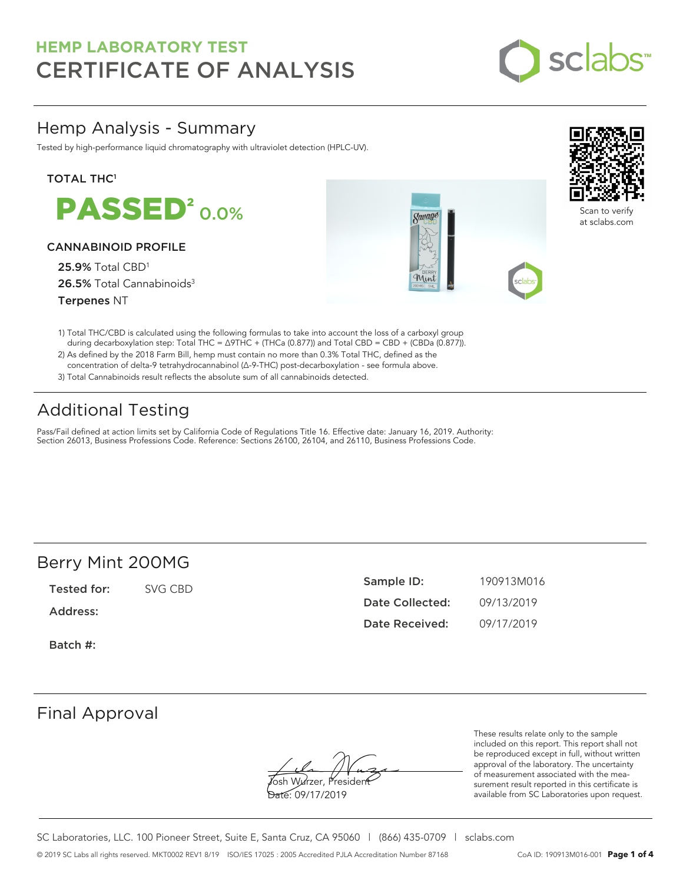

## Hemp Analysis - Summary

Tested by high-performance liquid chromatography with ultraviolet detection (HPLC-UV).

### **TOTAL THC1**

**PASSED<sup>2</sup>0.0%** 

### CANNABINOID PROFILE

25.9% Total CBD<sup>1</sup> 26.5% Total Cannabinoids<sup>3</sup> Terpenes NT





Scan to verify at sclabs.com

- 1) Total THC/CBD is calculated using the following formulas to take into account the loss of a carboxyl group during decarboxylation step: Total THC = ∆9THC + (THCa (0.877)) and Total CBD = CBD + (CBDa (0.877)).
- 2) As defined by the 2018 Farm Bill, hemp must contain no more than 0.3% Total THC, defined as the concentration of delta-9 tetrahydrocannabinol (Δ-9-THC) post-decarboxylation - see formula above.
- 3) Total Cannabinoids result reflects the absolute sum of all cannabinoids detected.

# Additional Testing

Pass/Fail defined at action limits set by California Code of Regulations Title 16. Effective date: January 16, 2019. Authority: Section 26013, Business Professions Code. Reference: Sections 26100, 26104, and 26110, Business Professions Code.

### Berry Mint 200MG

Tested for: SVG CBD

Address:

Batch #:

| Sample ID:      | 190913M016 |
|-----------------|------------|
| Date Collected: | 09/13/2019 |
| Date Received:  | 09/17/2019 |

### Final Approval

**J**osh Wurzer, Presiden<del>t</del> Date: 09/17/2019

These results relate only to the sample included on this report. This report shall not be reproduced except in full, without written approval of the laboratory. The uncertainty of measurement associated with the measurement result reported in this certificate is available from SC Laboratories upon request.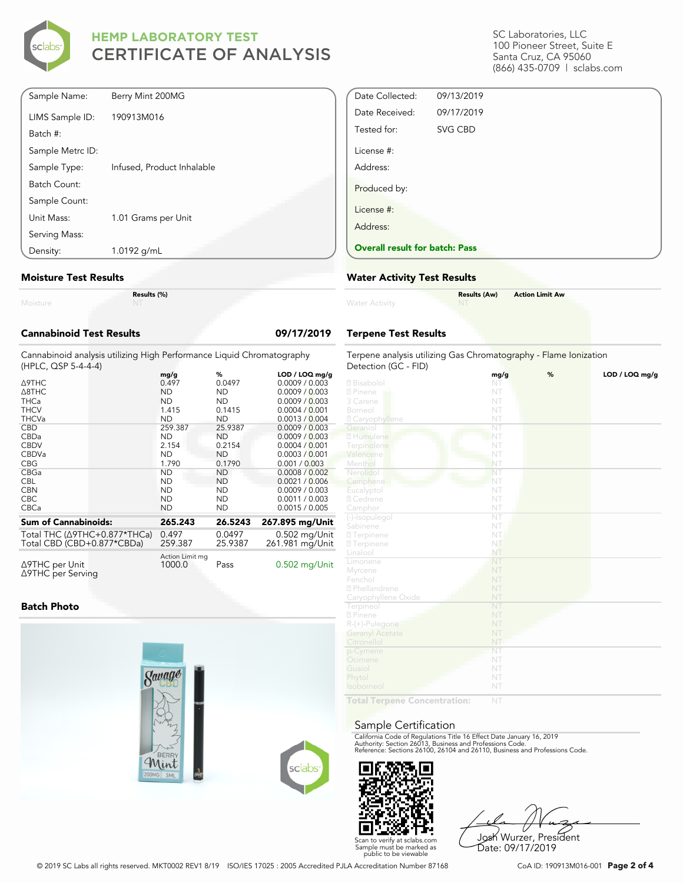

SC Laboratories, LLC 100 Pioneer Street, Suite E Santa Cruz, CA 95060 (866) 435-0709 | sclabs.com

| Sample Name:     | Berry Mint 200MG           |
|------------------|----------------------------|
| LIMS Sample ID:  | 190913M016                 |
| Batch #:         |                            |
| Sample Metrc ID: |                            |
| Sample Type:     | Infused, Product Inhalable |
| Batch Count:     |                            |
| Sample Count:    |                            |
| Unit Mass:       | 1.01 Grams per Unit        |
| Serving Mass:    |                            |
| Density:         | 1.0192 g/mL                |
|                  |                            |

#### **Moisture Test Results**

|                          | R |
|--------------------------|---|
| A A Property Controllers |   |

**Results (%)**

### **Cannabinoid Test Results 09/17/2019**

Cannabinoid analysis utilizing High Performance Liquid Chromatography (HPLC, QSP 5-4-4-4)

|                                                | mg/g                      | %         | LOD / LOQ mg/g  |
|------------------------------------------------|---------------------------|-----------|-----------------|
| ∆9THC                                          | 0.497                     | 0.0497    | 0.0009 / 0.003  |
| $\triangle$ 8THC                               | <b>ND</b>                 | <b>ND</b> | 0.0009 / 0.003  |
| <b>THCa</b>                                    | <b>ND</b>                 | ND.       | 0.0009 / 0.003  |
| <b>THCV</b>                                    | 1.415                     | 0.1415    | 0.0004 / 0.001  |
| <b>THCVa</b>                                   | <b>ND</b>                 | <b>ND</b> | 0.0013 / 0.004  |
| <b>CBD</b>                                     | 259.387                   | 25.9387   | 0.0009 / 0.003  |
| CBDa                                           | <b>ND</b>                 | ND        | 0.0009 / 0.003  |
| <b>CBDV</b>                                    | 2.154                     | 0.2154    | 0.0004 / 0.001  |
| <b>CBDVa</b>                                   | <b>ND</b>                 | ND.       | 0.0003 / 0.001  |
| <b>CBG</b>                                     | 1.790                     | 0.1790    | 0.001 / 0.003   |
| CBGa                                           | <b>ND</b>                 | <b>ND</b> | 0.0008 / 0.002  |
| <b>CBL</b>                                     | <b>ND</b>                 | <b>ND</b> | 0.0021 / 0.006  |
| <b>CBN</b>                                     | <b>ND</b>                 | ND.       | 0.0009 / 0.003  |
| <b>CBC</b>                                     | <b>ND</b>                 | ND.       | 0.0011 / 0.003  |
| <b>CBCa</b>                                    | <b>ND</b>                 | ND        | 0.0015 / 0.005  |
| <b>Sum of Cannabinoids:</b>                    | 265.243                   | 26.5243   | 267.895 mg/Unit |
| Total THC $(\Delta$ 9THC+0.877*THCa)           | 0.497                     | 0.0497    | 0.502 mg/Unit   |
| Total CBD (CBD+0.877*CBDa)                     | 259.387                   | 25.9387   | 261.981 mg/Unit |
| $\triangle$ 9THC per Unit<br>∆9THC per Serving | Action Limit mg<br>1000.0 | Pass      | $0.502$ mg/Unit |

### **Batch Photo**





Scan to verify at sclabs.com Sample must be marked as public to be viewable

Josh Wurzer, President Date: 09/17/2019

© 2019 SC Labs all rights reserved. MKT0002 REV1 8/19 ISO/IES 17025 : 2005 Accredited PJLA Accreditation Number 87168 CoA ID: 190913M016-001 **Page 2 of 4**

Detection (GC - FID)

**Water Activity** 

License #: Address:

Produced by:

License #: Address:

Date Collected: 09/13/2019 Date Received: 09/17/2019 Tested for: SVG CBD

**Overall result for batch: Pass**

**Water Activity Test Results**

**Terpene Test Results**

|                           | mg/g                   | % | LOD / LOQ mg/g |
|---------------------------|------------------------|---|----------------|
| 2 Bisabolol               | NT                     |   |                |
| 2 Pinene                  | NT                     |   |                |
| 3 Carene                  | NT                     |   |                |
| Borneol                   | NT                     |   |                |
| <b>Z</b> Caryophyllene    | NT                     |   |                |
| Geranio                   | $\overline{\text{NT}}$ |   |                |
| 2 Humulene                | NT                     |   |                |
| Terpinolene               | NT                     |   |                |
| Valencene                 | NT                     |   |                |
| Menthol                   | NT                     |   |                |
| Nerolidol                 | NT                     |   |                |
| Camphene                  | NT                     |   |                |
| Eucalyptol                | NT                     |   |                |
| 2 Cedrene                 | NT                     |   |                |
| Camphor                   | NT                     |   |                |
| (-)-Isopulegol            | $\overline{\text{NT}}$ |   |                |
| Sabinene                  | NT                     |   |                |
| <b>27 Terpinene</b>       | NT.                    |   |                |
| <b>27</b> Terpinene       | NT                     |   |                |
| Linalool                  | NT                     |   |                |
| Limonene                  | NT                     |   |                |
| Myrcene                   | NT                     |   |                |
| Fenchol                   | NT                     |   |                |
| <sup>2</sup> Phellandrene | NT                     |   |                |
| Caryophyllene Oxide       | NT                     |   |                |
| Terpineol                 | NT                     |   |                |
| 2 Pinene                  | NT                     |   |                |
| $R-(+)$ -Pulegone         | NT                     |   |                |
| <b>Geranyl Acetate</b>    | NT                     |   |                |
| Citronellol               | NT                     |   |                |
| p-Cymene                  | NT                     |   |                |
| Ocimene                   | NT                     |   |                |
| Guaiol                    | NT                     |   |                |
| Phytol                    | NT                     |   |                |
| Isoborneol                | NT                     |   |                |

**Results (Aw) Action Limit Aw**

Terpene analysis utilizing Gas Chromatography - Flame Ionization

**Total Terpene Concentration:** NT

### Sample Certification

California Code of Regulations Title 16 Effect Date January 16, 2019<br>Authority: Section 26013, Business and Professions Code.<br>Reference: Sections 26100, 26104 and 26110, Business and Professions Code.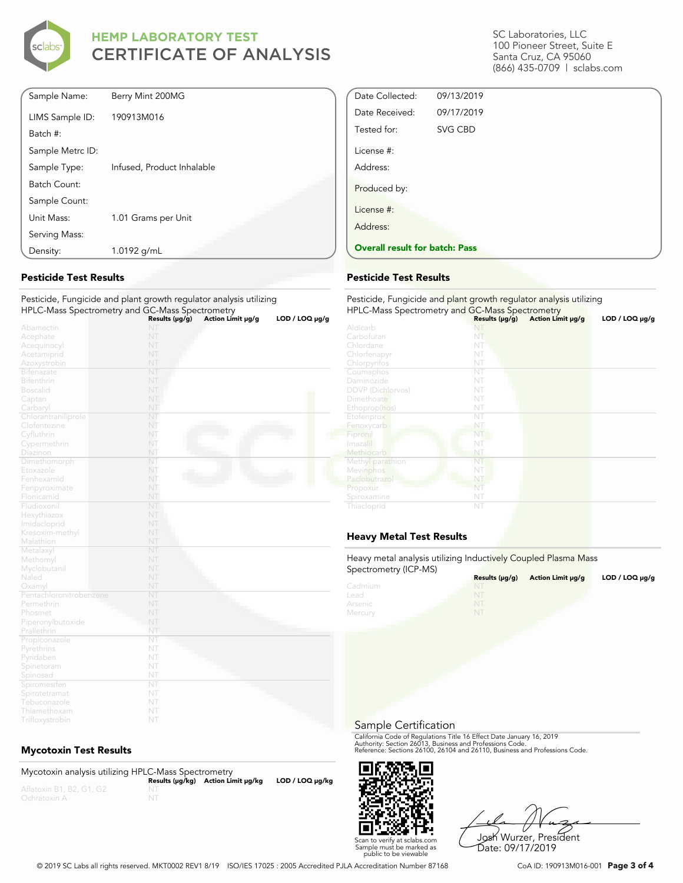

| Density:         | 1.0192 g/mL                |
|------------------|----------------------------|
| Serving Mass:    |                            |
| Unit Mass:       | 1.01 Grams per Unit        |
| Sample Count:    |                            |
| Batch Count:     |                            |
| Sample Type:     | Infused, Product Inhalable |
| Sample Metrc ID: |                            |
| Batch #:         |                            |
| LIMS Sample ID:  | 190913M016                 |
| Sample Name:     | Berry Mint 200MG           |

### **Pesticide Test Results**

Pesticide, Fungicide and plant growth regulator analysis utilizing HPLC-Mass Spectrometry and GC-Mass Spectrometry **Results (μg/g) Action Limit μg/g LOD / LOQ μg/g**

|                         |     | Results (µg/g) Action Limit µg/g | LOD / LOG µg/g |
|-------------------------|-----|----------------------------------|----------------|
| Abamectin               | NT  |                                  |                |
| Acephate                | NT  |                                  |                |
| Acequinocyl             | NT  |                                  |                |
| Acetamiprid             | NT  |                                  |                |
| Azoxystrobin            | NT  |                                  |                |
| Bifenazate              | NT  |                                  |                |
| Bifenthrin              | NT  |                                  |                |
| <b>Boscalid</b>         | NT  |                                  |                |
| Captan                  | NT  |                                  |                |
| Carbaryl                | NT  |                                  |                |
| Chlorantraniliprole     | NT  |                                  |                |
| Clofentezine            | NT  |                                  |                |
| Cyfluthrin              | NT  |                                  |                |
| Cypermethrin            | NT  |                                  |                |
| Diazinon                | NT  |                                  |                |
| Dimethomorph            | NT. |                                  |                |
| Etoxazole               | NT  |                                  |                |
| Fenhexamid              | NT  |                                  |                |
| Fenpyroximate           | NT  |                                  |                |
| Flonicamid              | NT  |                                  |                |
| Fludioxonil             | NT  |                                  |                |
| Hexythiazox             | NT  |                                  |                |
| Imidacloprid            | NT  |                                  |                |
| Kresoxim-methyl         | NT  |                                  |                |
| Malathion               | NT  |                                  |                |
| Metalaxyl               | NT  |                                  |                |
| Methomyl                | NT  |                                  |                |
| Myclobutanil            | NT  |                                  |                |
| Naled                   | NT  |                                  |                |
| Oxamyl                  | NT  |                                  |                |
| Pentachloronitrobenzene | NT  |                                  |                |
| Permethrin              | NT  |                                  |                |
| Phosmet                 | NT  |                                  |                |
| Piperonylbutoxide       | NT  |                                  |                |
| Prallethrin             | NT  |                                  |                |
| Propiconazole           | NT  |                                  |                |
| Pyrethrins              | NT  |                                  |                |
| Pyridaben               | NT  |                                  |                |
| Spinetoram              | NT  |                                  |                |
| Spinosad                | NT  |                                  |                |
| Spiromesifen            | NT  |                                  |                |
| Spirotetramat           | NT  |                                  |                |
| Tebuconazole            | NT  |                                  |                |
| Thiamethoxam            | NT  |                                  |                |
|                         |     |                                  |                |

### **Mycotoxin Test Results**

Trifloxystrobin

Mycotoxin analysis utilizing HPLC-Mass Spectrometry **Results (μg/kg) Action Limit μg/kg LOD / LOQ μg/kg** NT

SC Laboratories, LLC 100 Pioneer Street, Suite E Santa Cruz, CA 95060 (866) 435-0709 | sclabs.com

| <b>Overall result for batch: Pass</b> |            |  |  |
|---------------------------------------|------------|--|--|
| Address:                              |            |  |  |
| License #:                            |            |  |  |
| Produced by:                          |            |  |  |
| Address:                              |            |  |  |
| License #:                            |            |  |  |
| Tested for:                           | SVG CBD    |  |  |
| Date Received:                        | 09/17/2019 |  |  |
| Date Collected:                       | 09/13/2019 |  |  |

#### **Pesticide Test Results**

| Pesticide, Fungicide and plant growth regulator analysis utilizing<br>HPLC-Mass Spectrometry and GC-Mass Spectrometry |                     |                   |                     |  |
|-----------------------------------------------------------------------------------------------------------------------|---------------------|-------------------|---------------------|--|
|                                                                                                                       | Results $(\mu g/g)$ | Action Limit µg/g | $LOD / LOQ \mu g/g$ |  |
| Aldicarb                                                                                                              | NT                  |                   |                     |  |
| Carbofuran                                                                                                            | NT                  |                   |                     |  |
| Chlordane                                                                                                             | NT                  |                   |                     |  |
| Chlorfenapyr                                                                                                          | NT                  |                   |                     |  |
| Chlorpyrifos                                                                                                          | NT                  |                   |                     |  |
| Coumaphos                                                                                                             | NT                  |                   |                     |  |
| Daminozide                                                                                                            | NT                  |                   |                     |  |
| <b>DDVP</b> (Dichlorvos)                                                                                              | NT                  |                   |                     |  |
| Dimethoate                                                                                                            | NT                  |                   |                     |  |
| Ethoprop(hos)                                                                                                         | NT                  |                   |                     |  |
| Etofenprox                                                                                                            | NT                  |                   |                     |  |
| Fenoxycarb                                                                                                            | NT                  |                   |                     |  |
| Fipronil                                                                                                              | NT                  |                   |                     |  |
| Imazalil                                                                                                              | NT                  |                   |                     |  |
| Methiocarb                                                                                                            | NT                  |                   |                     |  |
| Methyl parathion                                                                                                      | NT                  |                   |                     |  |
| Mevinphos                                                                                                             | NT                  |                   |                     |  |
| Paclobutrazol                                                                                                         | NT                  |                   |                     |  |
| Propoxur                                                                                                              | NT                  |                   |                     |  |
| Spiroxamine                                                                                                           | NT                  |                   |                     |  |
| Thiacloprid                                                                                                           | NT                  |                   |                     |  |

### **Heavy Metal Test Results**

Heavy metal analysis utilizing Inductively Coupled Plasma Mass Spectrometry (ICP-MS)

| <b>ODECHALLER A</b> HOLL-IND | Results $(\mu q/q)$ | Action Limit µq/q | LOD / LOQ $\mu$ g/g |
|------------------------------|---------------------|-------------------|---------------------|
| Cadmium                      | NT                  |                   |                     |
| Lead                         | NT                  |                   |                     |
| Arsenic                      | NT                  |                   |                     |
| Mercury                      | NI                  |                   |                     |

Sample Certification

California Code of Regulations Title 16 Effect Date January 16, 2019<br>Authority: Section 26013, Business and Professions Code.<br>Reference: Sections 26100, 26104 and 26110, Business and Professions Code.



Josh Wurzer, President Date: 09/17/2019

© 2019 SC Labs all rights reserved. MKT0002 REV1 8/19 ISO/IES 17025 : 2005 Accredited PJLA Accreditation Number 87168 CoA ID: 190913M016-001 **Page 3 of 4**